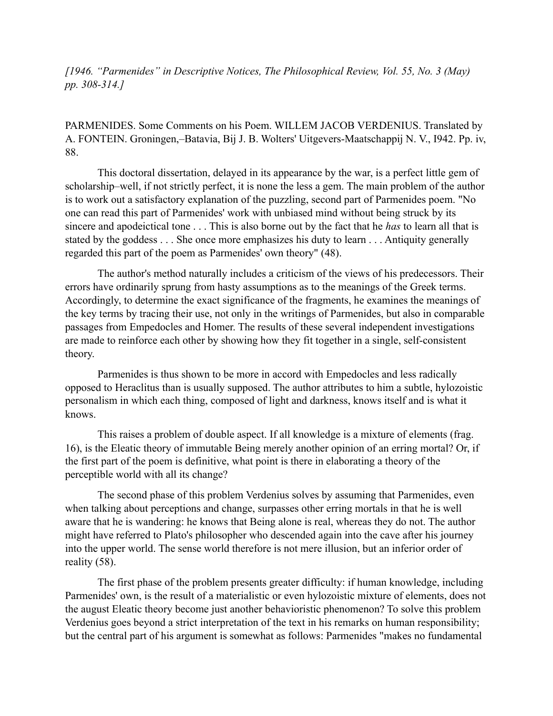*[1946. "Parmenides" in Descriptive Notices, The Philosophical Review, Vol. 55, No. 3 (May) pp. 308-314.]*

PARMENIDES. Some Comments on his Poem. WILLEM JACOB VERDENIUS. Translated by A. FONTEIN. Groningen,–Batavia, Bij J. B. Wolters' Uitgevers-Maatschappij N. V., I942. Pp. iv, 88.

This doctoral dissertation, delayed in its appearance by the war, is a perfect little gem of scholarship–well, if not strictly perfect, it is none the less a gem. The main problem of the author is to work out a satisfactory explanation of the puzzling, second part of Parmenides poem. "No one can read this part of Parmenides' work with unbiased mind without being struck by its sincere and apodeictical tone . . . This is also borne out by the fact that he *has* to learn all that is stated by the goddess . . . She once more emphasizes his duty to learn . . . Antiquity generally regarded this part of the poem as Parmenides' own theory" (48).

The author's method naturally includes a criticism of the views of his predecessors. Their errors have ordinarily sprung from hasty assumptions as to the meanings of the Greek terms. Accordingly, to determine the exact significance of the fragments, he examines the meanings of the key terms by tracing their use, not only in the writings of Parmenides, but also in comparable passages from Empedocles and Homer. The results of these several independent investigations are made to reinforce each other by showing how they fit together in a single, self-consistent theory.

Parmenides is thus shown to be more in accord with Empedocles and less radically opposed to Heraclitus than is usually supposed. The author attributes to him a subtle, hylozoistic personalism in which each thing, composed of light and darkness, knows itself and is what it knows.

This raises a problem of double aspect. If all knowledge is a mixture of elements (frag. 16), is the Eleatic theory of immutable Being merely another opinion of an erring mortal? Or, if the first part of the poem is definitive, what point is there in elaborating a theory of the perceptible world with all its change?

The second phase of this problem Verdenius solves by assuming that Parmenides, even when talking about perceptions and change, surpasses other erring mortals in that he is well aware that he is wandering: he knows that Being alone is real, whereas they do not. The author might have referred to Plato's philosopher who descended again into the cave after his journey into the upper world. The sense world therefore is not mere illusion, but an inferior order of reality (58).

The first phase of the problem presents greater difficulty: if human knowledge, including Parmenides' own, is the result of a materialistic or even hylozoistic mixture of elements, does not the august Eleatic theory become just another behavioristic phenomenon? To solve this problem Verdenius goes beyond a strict interpretation of the text in his remarks on human responsibility; but the central part of his argument is somewhat as follows: Parmenides "makes no fundamental